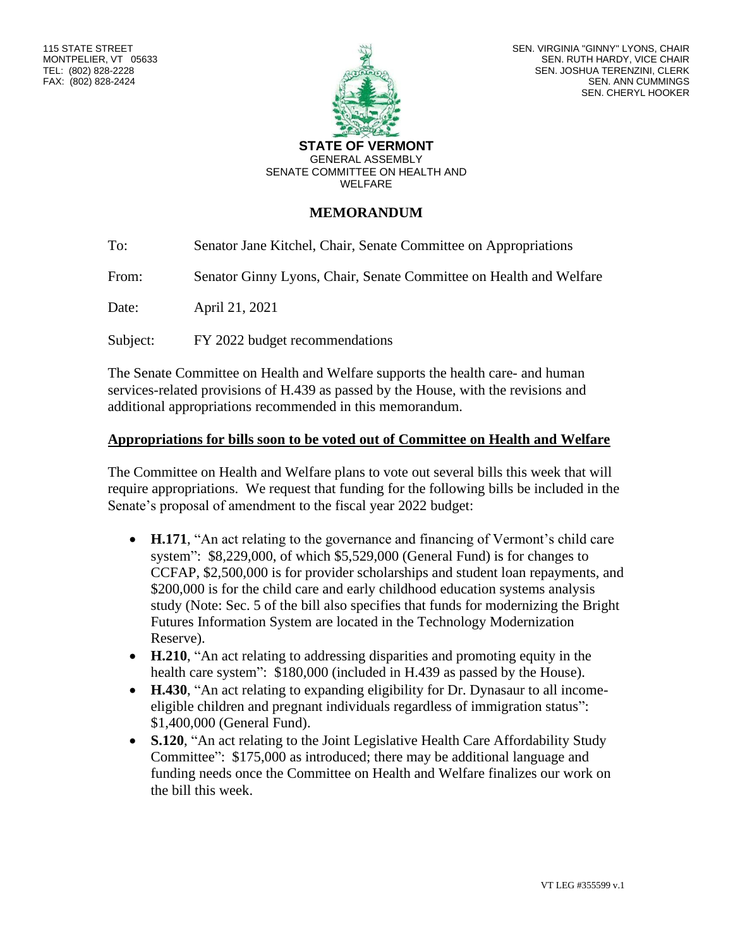

SEN. VIRGINIA "GINNY" LYONS, CHAIR SEN. RUTH HARDY, VICE CHAIR SEN. JOSHUA TERENZINI, CLERK SEN. ANN CUMMINGS SEN. CHERYL HOOKER

**STATE OF VERMONT** GENERAL ASSEMBLY SENATE COMMITTEE ON HEALTH AND WELFARE

### **MEMORANDUM**

To: Senator Jane Kitchel, Chair, Senate Committee on Appropriations

From: Senator Ginny Lyons, Chair, Senate Committee on Health and Welfare

Date: April 21, 2021

Subject: FY 2022 budget recommendations

The Senate Committee on Health and Welfare supports the health care- and human services-related provisions of H.439 as passed by the House, with the revisions and additional appropriations recommended in this memorandum.

#### **Appropriations for bills soon to be voted out of Committee on Health and Welfare**

The Committee on Health and Welfare plans to vote out several bills this week that will require appropriations. We request that funding for the following bills be included in the Senate's proposal of amendment to the fiscal year 2022 budget:

- **H.171**, "An act relating to the governance and financing of Vermont's child care system": \$8,229,000, of which \$5,529,000 (General Fund) is for changes to CCFAP, \$2,500,000 is for provider scholarships and student loan repayments, and \$200,000 is for the child care and early childhood education systems analysis study (Note: Sec. 5 of the bill also specifies that funds for modernizing the Bright Futures Information System are located in the Technology Modernization Reserve).
- **H.210**, "An act relating to addressing disparities and promoting equity in the health care system": \$180,000 (included in H.439 as passed by the House).
- **H.430**, "An act relating to expanding eligibility for Dr. Dynasaur to all incomeeligible children and pregnant individuals regardless of immigration status": \$1,400,000 (General Fund).
- **S.120**, "An act relating to the Joint Legislative Health Care Affordability Study Committee": \$175,000 as introduced; there may be additional language and funding needs once the Committee on Health and Welfare finalizes our work on the bill this week.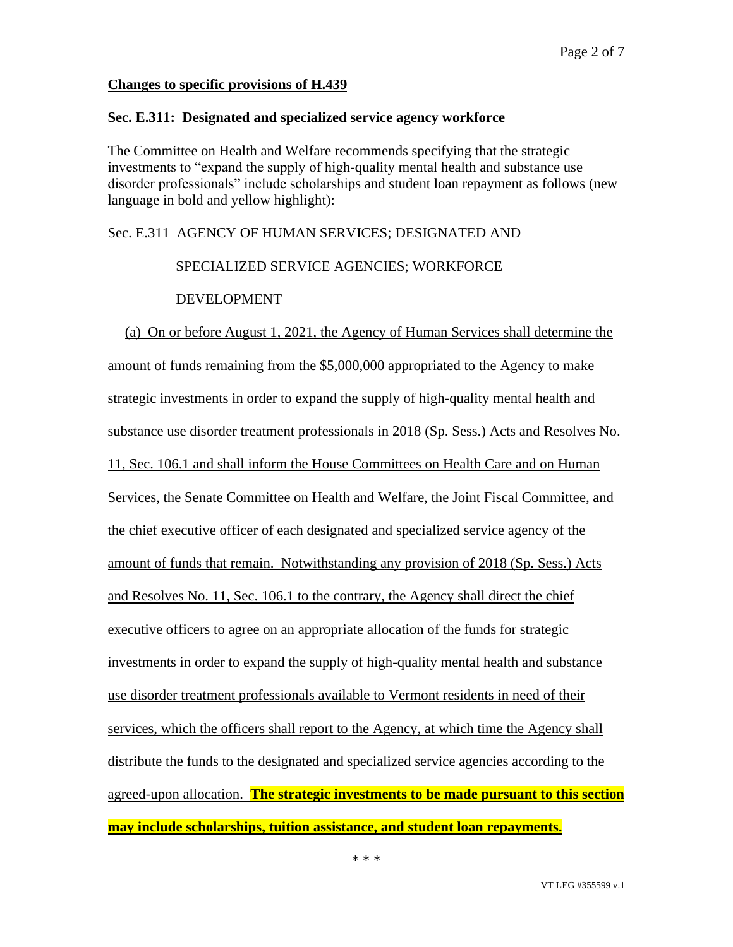### **Changes to specific provisions of H.439**

### **Sec. E.311: Designated and specialized service agency workforce**

The Committee on Health and Welfare recommends specifying that the strategic investments to "expand the supply of high-quality mental health and substance use disorder professionals" include scholarships and student loan repayment as follows (new language in bold and yellow highlight):

Sec. E.311 AGENCY OF HUMAN SERVICES; DESIGNATED AND

### SPECIALIZED SERVICE AGENCIES; WORKFORCE

### DEVELOPMENT

(a) On or before August 1, 2021, the Agency of Human Services shall determine the amount of funds remaining from the \$5,000,000 appropriated to the Agency to make strategic investments in order to expand the supply of high-quality mental health and substance use disorder treatment professionals in 2018 (Sp. Sess.) Acts and Resolves No. 11, Sec. 106.1 and shall inform the House Committees on Health Care and on Human Services, the Senate Committee on Health and Welfare, the Joint Fiscal Committee, and the chief executive officer of each designated and specialized service agency of the amount of funds that remain. Notwithstanding any provision of 2018 (Sp. Sess.) Acts and Resolves No. 11, Sec. 106.1 to the contrary, the Agency shall direct the chief executive officers to agree on an appropriate allocation of the funds for strategic investments in order to expand the supply of high-quality mental health and substance use disorder treatment professionals available to Vermont residents in need of their services, which the officers shall report to the Agency, at which time the Agency shall distribute the funds to the designated and specialized service agencies according to the agreed-upon allocation. **The strategic investments to be made pursuant to this section may include scholarships, tuition assistance, and student loan repayments.**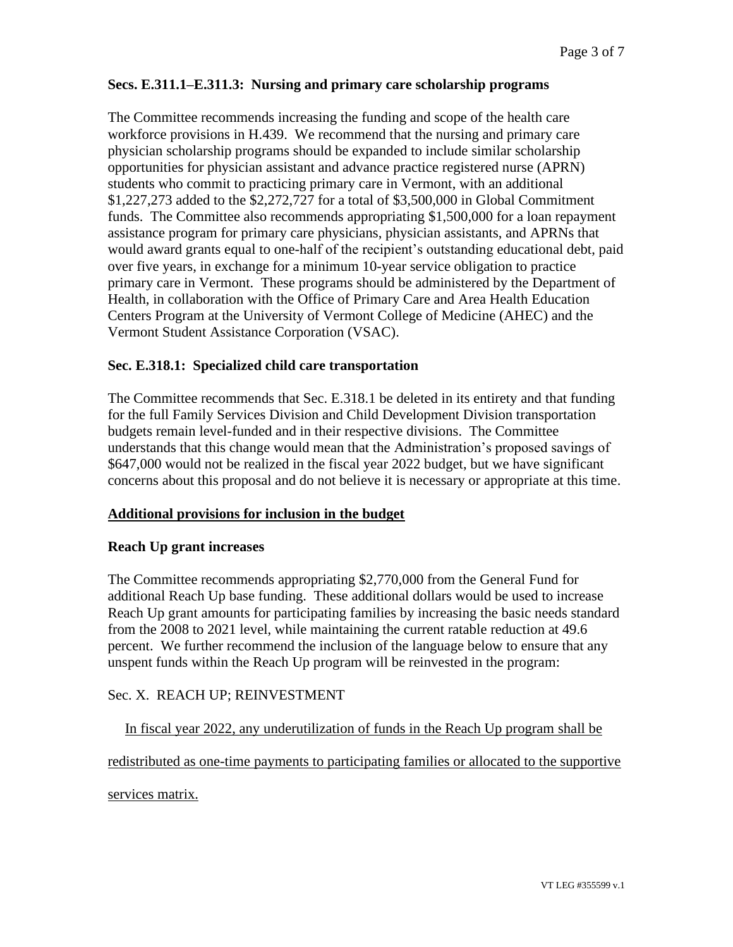### **Secs. E.311.1–E.311.3: Nursing and primary care scholarship programs**

The Committee recommends increasing the funding and scope of the health care workforce provisions in H.439. We recommend that the nursing and primary care physician scholarship programs should be expanded to include similar scholarship opportunities for physician assistant and advance practice registered nurse (APRN) students who commit to practicing primary care in Vermont, with an additional \$1,227,273 added to the \$2,272,727 for a total of \$3,500,000 in Global Commitment funds. The Committee also recommends appropriating \$1,500,000 for a loan repayment assistance program for primary care physicians, physician assistants, and APRNs that would award grants equal to one-half of the recipient's outstanding educational debt, paid over five years, in exchange for a minimum 10-year service obligation to practice primary care in Vermont. These programs should be administered by the Department of Health, in collaboration with the Office of Primary Care and Area Health Education Centers Program at the University of Vermont College of Medicine (AHEC) and the Vermont Student Assistance Corporation (VSAC).

### **Sec. E.318.1: Specialized child care transportation**

The Committee recommends that Sec. E.318.1 be deleted in its entirety and that funding for the full Family Services Division and Child Development Division transportation budgets remain level-funded and in their respective divisions. The Committee understands that this change would mean that the Administration's proposed savings of \$647,000 would not be realized in the fiscal year 2022 budget, but we have significant concerns about this proposal and do not believe it is necessary or appropriate at this time.

#### **Additional provisions for inclusion in the budget**

#### **Reach Up grant increases**

The Committee recommends appropriating \$2,770,000 from the General Fund for additional Reach Up base funding. These additional dollars would be used to increase Reach Up grant amounts for participating families by increasing the basic needs standard from the 2008 to 2021 level, while maintaining the current ratable reduction at 49.6 percent. We further recommend the inclusion of the language below to ensure that any unspent funds within the Reach Up program will be reinvested in the program:

### Sec. X. REACH UP; REINVESTMENT

In fiscal year 2022, any underutilization of funds in the Reach Up program shall be

redistributed as one-time payments to participating families or allocated to the supportive

services matrix.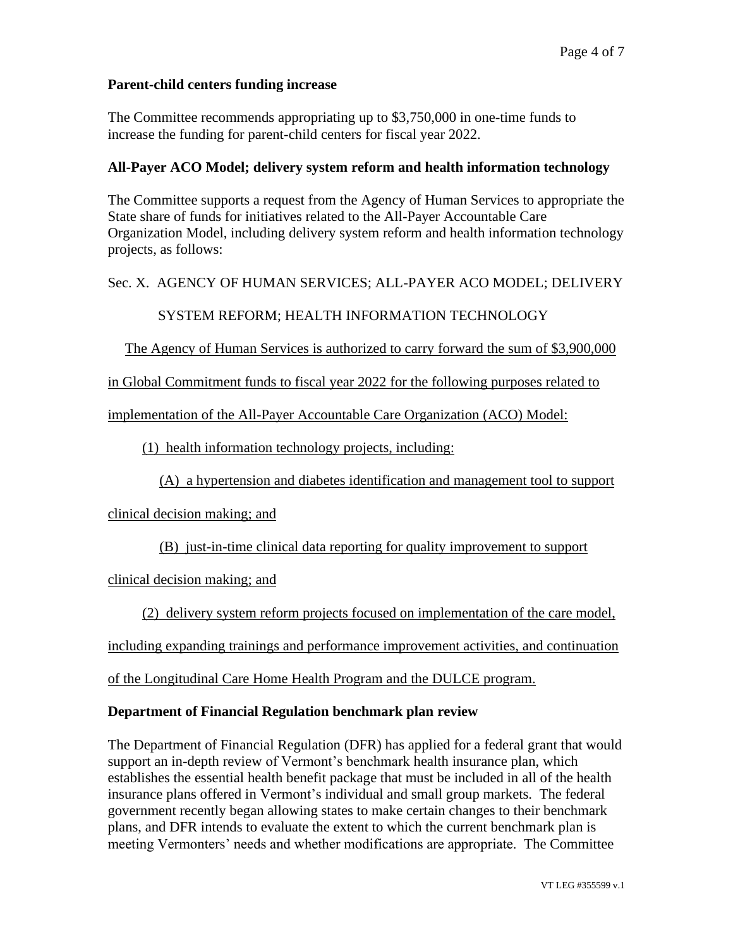### **Parent-child centers funding increase**

The Committee recommends appropriating up to \$3,750,000 in one-time funds to increase the funding for parent-child centers for fiscal year 2022.

### **All-Payer ACO Model; delivery system reform and health information technology**

The Committee supports a request from the Agency of Human Services to appropriate the State share of funds for initiatives related to the All-Payer Accountable Care Organization Model, including delivery system reform and health information technology projects, as follows:

### Sec. X. AGENCY OF HUMAN SERVICES; ALL-PAYER ACO MODEL; DELIVERY

# SYSTEM REFORM; HEALTH INFORMATION TECHNOLOGY

# The Agency of Human Services is authorized to carry forward the sum of \$3,900,000

### in Global Commitment funds to fiscal year 2022 for the following purposes related to

### implementation of the All-Payer Accountable Care Organization (ACO) Model:

# (1) health information technology projects, including:

# (A) a hypertension and diabetes identification and management tool to support

# clinical decision making; and

# (B) just-in-time clinical data reporting for quality improvement to support

# clinical decision making; and

# (2) delivery system reform projects focused on implementation of the care model,

# including expanding trainings and performance improvement activities, and continuation

# of the Longitudinal Care Home Health Program and the DULCE program.

### **Department of Financial Regulation benchmark plan review**

The Department of Financial Regulation (DFR) has applied for a federal grant that would support an in-depth review of Vermont's benchmark health insurance plan, which establishes the essential health benefit package that must be included in all of the health insurance plans offered in Vermont's individual and small group markets. The federal government recently began allowing states to make certain changes to their benchmark plans, and DFR intends to evaluate the extent to which the current benchmark plan is meeting Vermonters' needs and whether modifications are appropriate. The Committee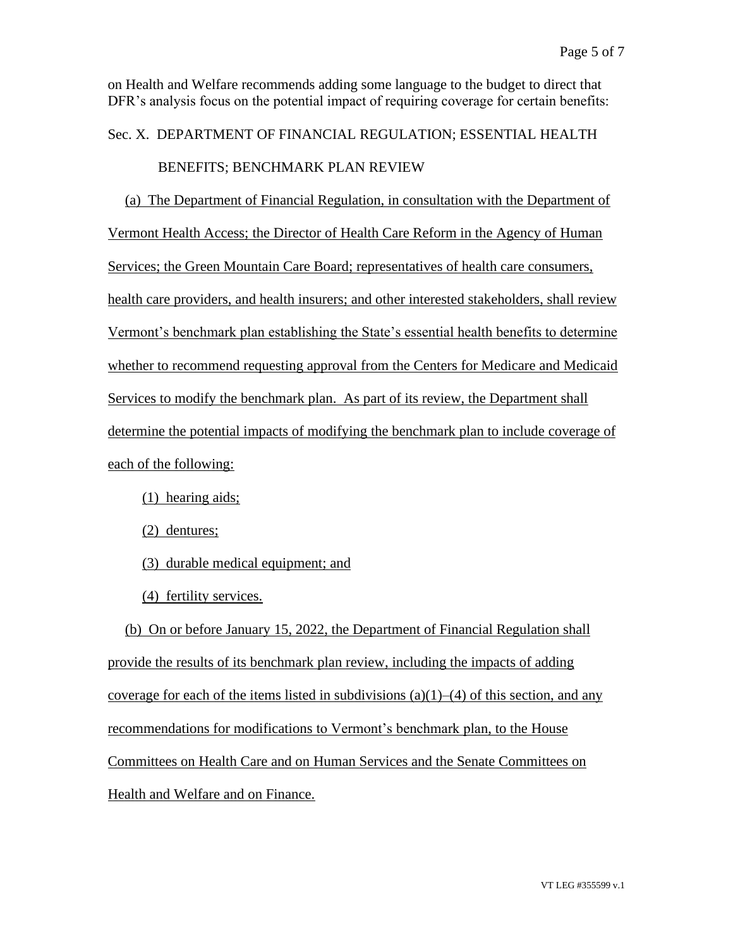on Health and Welfare recommends adding some language to the budget to direct that DFR's analysis focus on the potential impact of requiring coverage for certain benefits:

# Sec. X. DEPARTMENT OF FINANCIAL REGULATION; ESSENTIAL HEALTH

# BENEFITS; BENCHMARK PLAN REVIEW

(a) The Department of Financial Regulation, in consultation with the Department of Vermont Health Access; the Director of Health Care Reform in the Agency of Human Services; the Green Mountain Care Board; representatives of health care consumers, health care providers, and health insurers; and other interested stakeholders, shall review Vermont's benchmark plan establishing the State's essential health benefits to determine whether to recommend requesting approval from the Centers for Medicare and Medicaid Services to modify the benchmark plan. As part of its review, the Department shall determine the potential impacts of modifying the benchmark plan to include coverage of each of the following:

(1) hearing aids;

(2) dentures;

(3) durable medical equipment; and

(4) fertility services.

(b) On or before January 15, 2022, the Department of Financial Regulation shall provide the results of its benchmark plan review, including the impacts of adding coverage for each of the items listed in subdivisions  $(a)(1)$ – $(4)$  of this section, and any recommendations for modifications to Vermont's benchmark plan, to the House Committees on Health Care and on Human Services and the Senate Committees on Health and Welfare and on Finance.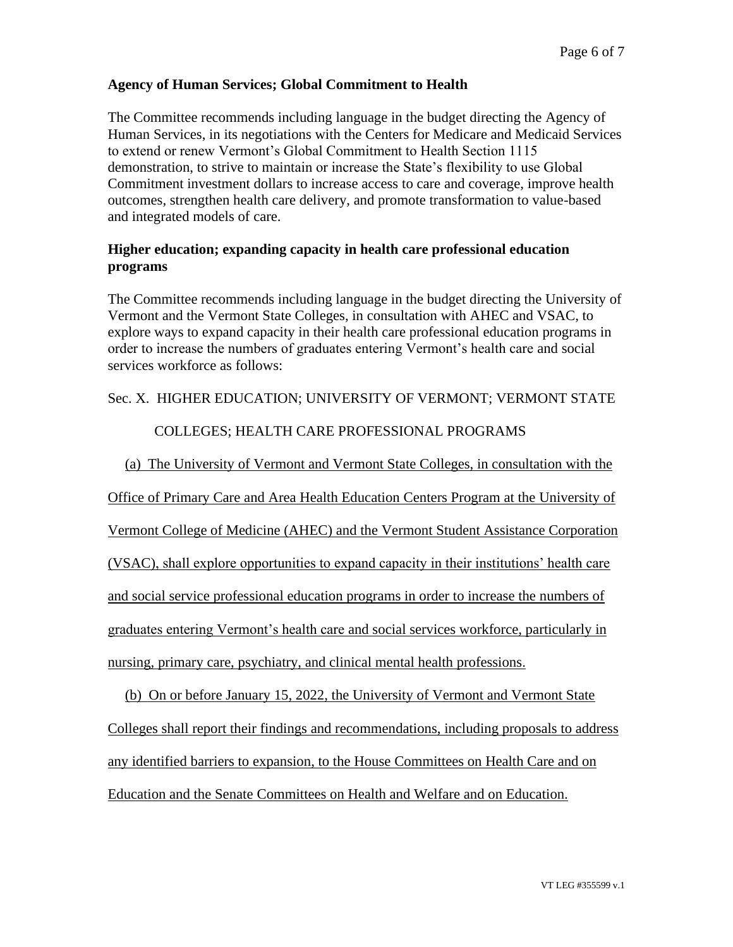### **Agency of Human Services; Global Commitment to Health**

The Committee recommends including language in the budget directing the Agency of Human Services, in its negotiations with the Centers for Medicare and Medicaid Services to extend or renew Vermont's Global Commitment to Health Section 1115 demonstration, to strive to maintain or increase the State's flexibility to use Global Commitment investment dollars to increase access to care and coverage, improve health outcomes, strengthen health care delivery, and promote transformation to value-based and integrated models of care.

### **Higher education; expanding capacity in health care professional education programs**

The Committee recommends including language in the budget directing the University of Vermont and the Vermont State Colleges, in consultation with AHEC and VSAC, to explore ways to expand capacity in their health care professional education programs in order to increase the numbers of graduates entering Vermont's health care and social services workforce as follows:

### Sec. X. HIGHER EDUCATION; UNIVERSITY OF VERMONT; VERMONT STATE

# COLLEGES; HEALTH CARE PROFESSIONAL PROGRAMS

(a) The University of Vermont and Vermont State Colleges, in consultation with the

Office of Primary Care and Area Health Education Centers Program at the University of

Vermont College of Medicine (AHEC) and the Vermont Student Assistance Corporation

(VSAC), shall explore opportunities to expand capacity in their institutions' health care

and social service professional education programs in order to increase the numbers of

graduates entering Vermont's health care and social services workforce, particularly in

nursing, primary care, psychiatry, and clinical mental health professions.

(b) On or before January 15, 2022, the University of Vermont and Vermont State Colleges shall report their findings and recommendations, including proposals to address any identified barriers to expansion, to the House Committees on Health Care and on Education and the Senate Committees on Health and Welfare and on Education.